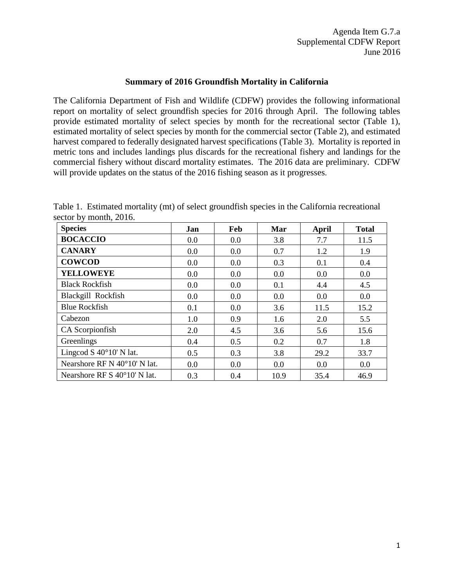## **Summary of 2016 Groundfish Mortality in California**

The California Department of Fish and Wildlife (CDFW) provides the following informational report on mortality of select groundfish species for 2016 through April. The following tables provide estimated mortality of select species by month for the recreational sector (Table 1), estimated mortality of select species by month for the commercial sector (Table 2), and estimated harvest compared to federally designated harvest specifications (Table 3). Mortality is reported in metric tons and includes landings plus discards for the recreational fishery and landings for the commercial fishery without discard mortality estimates. The 2016 data are preliminary. CDFW will provide updates on the status of the 2016 fishing season as it progresses.

Table 1. Estimated mortality (mt) of select groundfish species in the California recreational sector by month, 2016.

| <b>Species</b>                            | Jan | Feb | Mar  | April | <b>Total</b> |
|-------------------------------------------|-----|-----|------|-------|--------------|
| <b>BOCACCIO</b>                           | 0.0 | 0.0 | 3.8  | 7.7   | 11.5         |
| <b>CANARY</b>                             | 0.0 | 0.0 | 0.7  | 1.2   | 1.9          |
| <b>COWCOD</b>                             | 0.0 | 0.0 | 0.3  | 0.1   | 0.4          |
| <b>YELLOWEYE</b>                          | 0.0 | 0.0 | 0.0  | 0.0   | 0.0          |
| <b>Black Rockfish</b>                     | 0.0 | 0.0 | 0.1  | 4.4   | 4.5          |
| Blackgill Rockfish                        | 0.0 | 0.0 | 0.0  | 0.0   | 0.0          |
| <b>Blue Rockfish</b>                      | 0.1 | 0.0 | 3.6  | 11.5  | 15.2         |
| Cabezon                                   | 1.0 | 0.9 | 1.6  | 2.0   | 5.5          |
| CA Scorpionfish                           | 2.0 | 4.5 | 3.6  | 5.6   | 15.6         |
| Greenlings                                | 0.4 | 0.5 | 0.2  | 0.7   | 1.8          |
| Lingcod S $40^{\circ}10'$ N lat.          | 0.5 | 0.3 | 3.8  | 29.2  | 33.7         |
| Nearshore RF N 40°10' N lat.              | 0.0 | 0.0 | 0.0  | 0.0   | 0.0          |
| Nearshore RF $S$ 40 $^{\circ}$ 10' N 1at. | 0.3 | 0.4 | 10.9 | 35.4  | 46.9         |